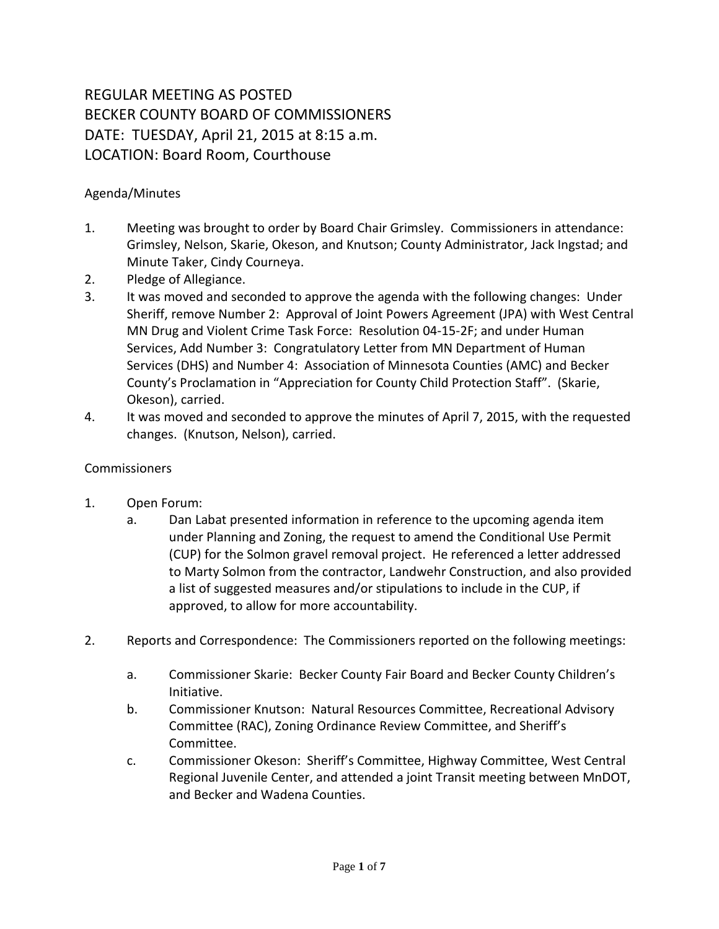## REGULAR MEETING AS POSTED BECKER COUNTY BOARD OF COMMISSIONERS DATE: TUESDAY, April 21, 2015 at 8:15 a.m. LOCATION: Board Room, Courthouse

## Agenda/Minutes

- 1. Meeting was brought to order by Board Chair Grimsley. Commissioners in attendance: Grimsley, Nelson, Skarie, Okeson, and Knutson; County Administrator, Jack Ingstad; and Minute Taker, Cindy Courneya.
- 2. Pledge of Allegiance.
- 3. It was moved and seconded to approve the agenda with the following changes: Under Sheriff, remove Number 2: Approval of Joint Powers Agreement (JPA) with West Central MN Drug and Violent Crime Task Force: Resolution 04-15-2F; and under Human Services, Add Number 3: Congratulatory Letter from MN Department of Human Services (DHS) and Number 4: Association of Minnesota Counties (AMC) and Becker County's Proclamation in "Appreciation for County Child Protection Staff". (Skarie, Okeson), carried.
- 4. It was moved and seconded to approve the minutes of April 7, 2015, with the requested changes. (Knutson, Nelson), carried.

## Commissioners

- 1. Open Forum:
	- a. Dan Labat presented information in reference to the upcoming agenda item under Planning and Zoning, the request to amend the Conditional Use Permit (CUP) for the Solmon gravel removal project. He referenced a letter addressed to Marty Solmon from the contractor, Landwehr Construction, and also provided a list of suggested measures and/or stipulations to include in the CUP, if approved, to allow for more accountability.
- 2. Reports and Correspondence: The Commissioners reported on the following meetings:
	- a. Commissioner Skarie: Becker County Fair Board and Becker County Children's Initiative.
	- b. Commissioner Knutson: Natural Resources Committee, Recreational Advisory Committee (RAC), Zoning Ordinance Review Committee, and Sheriff's Committee.
	- c. Commissioner Okeson: Sheriff's Committee, Highway Committee, West Central Regional Juvenile Center, and attended a joint Transit meeting between MnDOT, and Becker and Wadena Counties.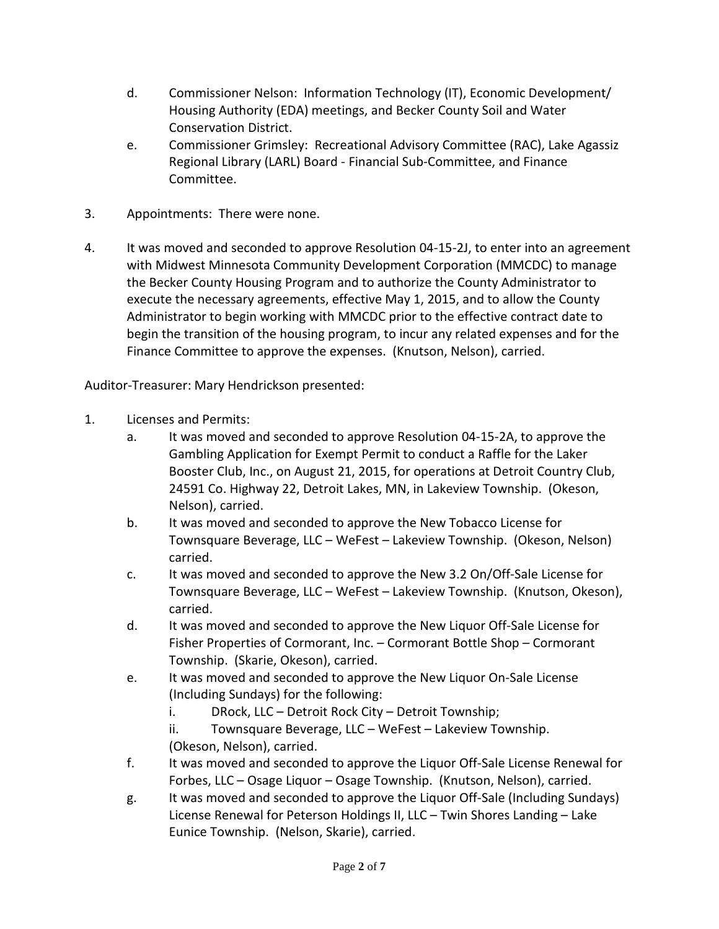- d. Commissioner Nelson: Information Technology (IT), Economic Development/ Housing Authority (EDA) meetings, and Becker County Soil and Water Conservation District.
- e. Commissioner Grimsley: Recreational Advisory Committee (RAC), Lake Agassiz Regional Library (LARL) Board - Financial Sub-Committee, and Finance Committee.
- 3. Appointments: There were none.
- 4. It was moved and seconded to approve Resolution 04-15-2J, to enter into an agreement with Midwest Minnesota Community Development Corporation (MMCDC) to manage the Becker County Housing Program and to authorize the County Administrator to execute the necessary agreements, effective May 1, 2015, and to allow the County Administrator to begin working with MMCDC prior to the effective contract date to begin the transition of the housing program, to incur any related expenses and for the Finance Committee to approve the expenses. (Knutson, Nelson), carried.

Auditor-Treasurer: Mary Hendrickson presented:

- 1. Licenses and Permits:
	- a. It was moved and seconded to approve Resolution 04-15-2A, to approve the Gambling Application for Exempt Permit to conduct a Raffle for the Laker Booster Club, Inc., on August 21, 2015, for operations at Detroit Country Club, 24591 Co. Highway 22, Detroit Lakes, MN, in Lakeview Township. (Okeson, Nelson), carried.
	- b. It was moved and seconded to approve the New Tobacco License for Townsquare Beverage, LLC – WeFest – Lakeview Township. (Okeson, Nelson) carried.
	- c. It was moved and seconded to approve the New 3.2 On/Off-Sale License for Townsquare Beverage, LLC – WeFest – Lakeview Township. (Knutson, Okeson), carried.
	- d. It was moved and seconded to approve the New Liquor Off-Sale License for Fisher Properties of Cormorant, Inc. – Cormorant Bottle Shop – Cormorant Township. (Skarie, Okeson), carried.
	- e. It was moved and seconded to approve the New Liquor On-Sale License (Including Sundays) for the following:

i. DRock, LLC – Detroit Rock City – Detroit Township;

ii. Townsquare Beverage, LLC – WeFest – Lakeview Township. (Okeson, Nelson), carried.

- f. It was moved and seconded to approve the Liquor Off-Sale License Renewal for Forbes, LLC – Osage Liquor – Osage Township. (Knutson, Nelson), carried.
- g. It was moved and seconded to approve the Liquor Off-Sale (Including Sundays) License Renewal for Peterson Holdings II, LLC – Twin Shores Landing – Lake Eunice Township. (Nelson, Skarie), carried.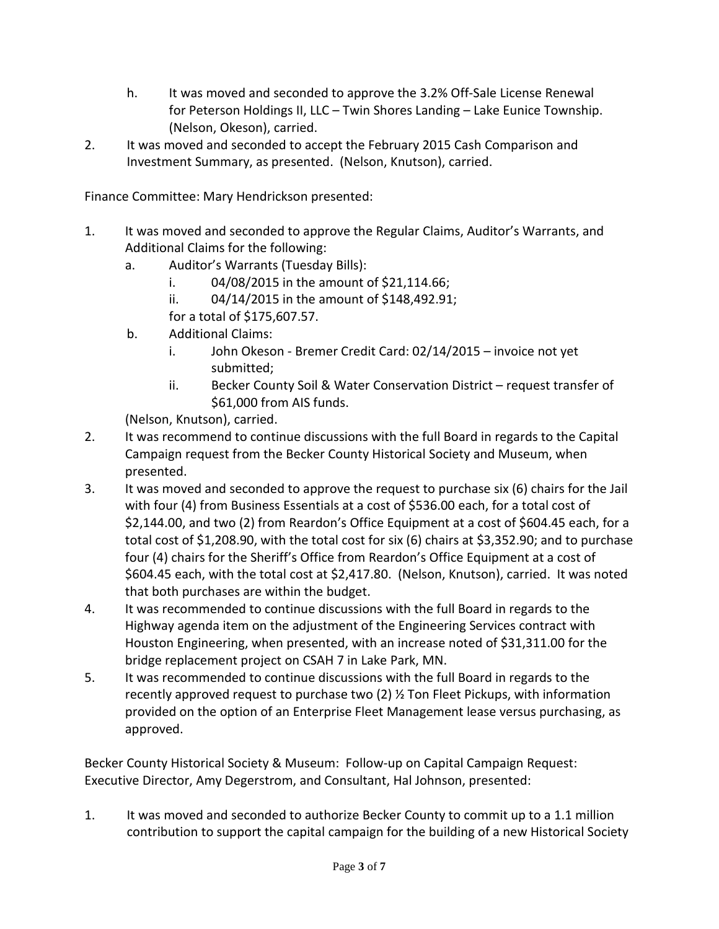- h. It was moved and seconded to approve the 3.2% Off-Sale License Renewal for Peterson Holdings II, LLC – Twin Shores Landing – Lake Eunice Township. (Nelson, Okeson), carried.
- 2. It was moved and seconded to accept the February 2015 Cash Comparison and Investment Summary, as presented. (Nelson, Knutson), carried.

Finance Committee: Mary Hendrickson presented:

- 1. It was moved and seconded to approve the Regular Claims, Auditor's Warrants, and Additional Claims for the following:
	- a. Auditor's Warrants (Tuesday Bills):
		- i.  $04/08/2015$  in the amount of \$21,114.66;
		- ii. 04/14/2015 in the amount of \$148,492.91;
		- for a total of \$175,607.57.
	- b. Additional Claims:
		- i. John Okeson Bremer Credit Card: 02/14/2015 invoice not yet submitted;
		- ii. Becker County Soil & Water Conservation District request transfer of \$61,000 from AIS funds.

(Nelson, Knutson), carried.

- 2. It was recommend to continue discussions with the full Board in regards to the Capital Campaign request from the Becker County Historical Society and Museum, when presented.
- 3. It was moved and seconded to approve the request to purchase six (6) chairs for the Jail with four (4) from Business Essentials at a cost of \$536.00 each, for a total cost of \$2,144.00, and two (2) from Reardon's Office Equipment at a cost of \$604.45 each, for a total cost of \$1,208.90, with the total cost for six (6) chairs at \$3,352.90; and to purchase four (4) chairs for the Sheriff's Office from Reardon's Office Equipment at a cost of \$604.45 each, with the total cost at \$2,417.80. (Nelson, Knutson), carried. It was noted that both purchases are within the budget.
- 4. It was recommended to continue discussions with the full Board in regards to the Highway agenda item on the adjustment of the Engineering Services contract with Houston Engineering, when presented, with an increase noted of \$31,311.00 for the bridge replacement project on CSAH 7 in Lake Park, MN.
- 5. It was recommended to continue discussions with the full Board in regards to the recently approved request to purchase two (2) ½ Ton Fleet Pickups, with information provided on the option of an Enterprise Fleet Management lease versus purchasing, as approved.

Becker County Historical Society & Museum: Follow-up on Capital Campaign Request: Executive Director, Amy Degerstrom, and Consultant, Hal Johnson, presented:

1. It was moved and seconded to authorize Becker County to commit up to a 1.1 million contribution to support the capital campaign for the building of a new Historical Society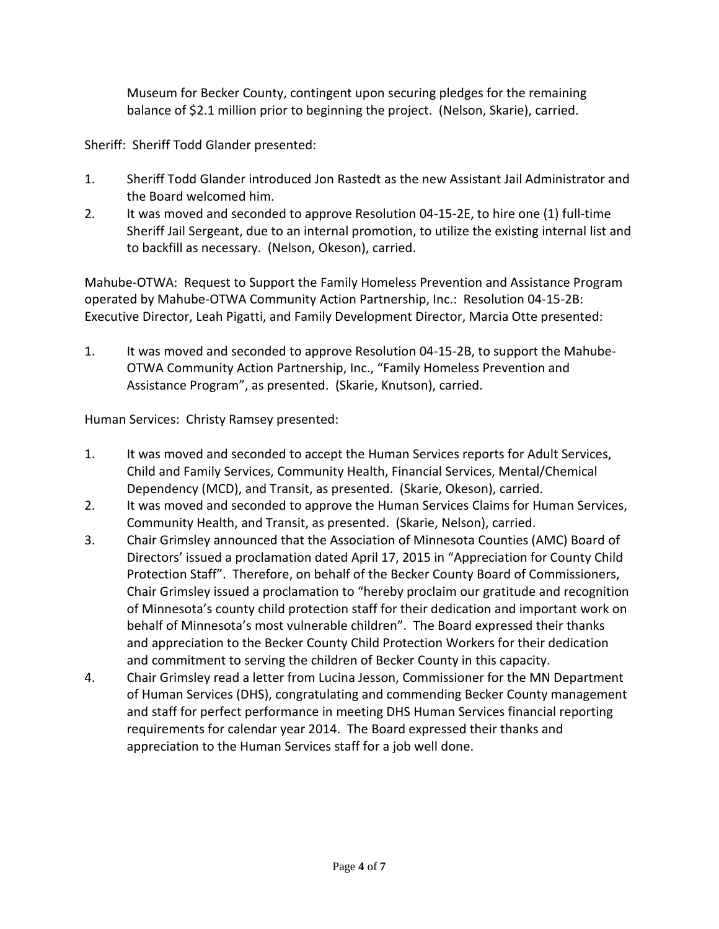Museum for Becker County, contingent upon securing pledges for the remaining balance of \$2.1 million prior to beginning the project. (Nelson, Skarie), carried.

Sheriff: Sheriff Todd Glander presented:

- 1. Sheriff Todd Glander introduced Jon Rastedt as the new Assistant Jail Administrator and the Board welcomed him.
- 2. It was moved and seconded to approve Resolution 04-15-2E, to hire one (1) full-time Sheriff Jail Sergeant, due to an internal promotion, to utilize the existing internal list and to backfill as necessary. (Nelson, Okeson), carried.

Mahube-OTWA: Request to Support the Family Homeless Prevention and Assistance Program operated by Mahube-OTWA Community Action Partnership, Inc.: Resolution 04-15-2B: Executive Director, Leah Pigatti, and Family Development Director, Marcia Otte presented:

1. It was moved and seconded to approve Resolution 04-15-2B, to support the Mahube-OTWA Community Action Partnership, Inc., "Family Homeless Prevention and Assistance Program", as presented. (Skarie, Knutson), carried.

Human Services: Christy Ramsey presented:

- 1. It was moved and seconded to accept the Human Services reports for Adult Services, Child and Family Services, Community Health, Financial Services, Mental/Chemical Dependency (MCD), and Transit, as presented. (Skarie, Okeson), carried.
- 2. It was moved and seconded to approve the Human Services Claims for Human Services, Community Health, and Transit, as presented. (Skarie, Nelson), carried.
- 3. Chair Grimsley announced that the Association of Minnesota Counties (AMC) Board of Directors' issued a proclamation dated April 17, 2015 in "Appreciation for County Child Protection Staff". Therefore, on behalf of the Becker County Board of Commissioners, Chair Grimsley issued a proclamation to "hereby proclaim our gratitude and recognition of Minnesota's county child protection staff for their dedication and important work on behalf of Minnesota's most vulnerable children". The Board expressed their thanks and appreciation to the Becker County Child Protection Workers for their dedication and commitment to serving the children of Becker County in this capacity.
- 4. Chair Grimsley read a letter from Lucina Jesson, Commissioner for the MN Department of Human Services (DHS), congratulating and commending Becker County management and staff for perfect performance in meeting DHS Human Services financial reporting requirements for calendar year 2014. The Board expressed their thanks and appreciation to the Human Services staff for a job well done.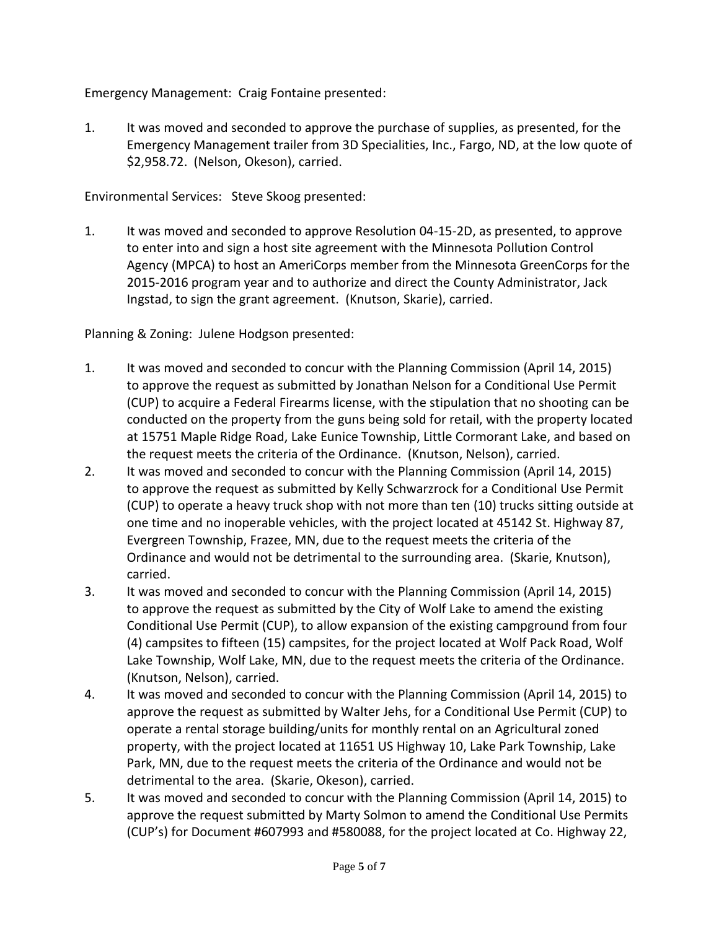Emergency Management: Craig Fontaine presented:

1. It was moved and seconded to approve the purchase of supplies, as presented, for the Emergency Management trailer from 3D Specialities, Inc., Fargo, ND, at the low quote of \$2,958.72. (Nelson, Okeson), carried.

Environmental Services: Steve Skoog presented:

1. It was moved and seconded to approve Resolution 04-15-2D, as presented, to approve to enter into and sign a host site agreement with the Minnesota Pollution Control Agency (MPCA) to host an AmeriCorps member from the Minnesota GreenCorps for the 2015-2016 program year and to authorize and direct the County Administrator, Jack Ingstad, to sign the grant agreement. (Knutson, Skarie), carried.

Planning & Zoning: Julene Hodgson presented:

- 1. It was moved and seconded to concur with the Planning Commission (April 14, 2015) to approve the request as submitted by Jonathan Nelson for a Conditional Use Permit (CUP) to acquire a Federal Firearms license, with the stipulation that no shooting can be conducted on the property from the guns being sold for retail, with the property located at 15751 Maple Ridge Road, Lake Eunice Township, Little Cormorant Lake, and based on the request meets the criteria of the Ordinance. (Knutson, Nelson), carried.
- 2. It was moved and seconded to concur with the Planning Commission (April 14, 2015) to approve the request as submitted by Kelly Schwarzrock for a Conditional Use Permit (CUP) to operate a heavy truck shop with not more than ten (10) trucks sitting outside at one time and no inoperable vehicles, with the project located at 45142 St. Highway 87, Evergreen Township, Frazee, MN, due to the request meets the criteria of the Ordinance and would not be detrimental to the surrounding area. (Skarie, Knutson), carried.
- 3. It was moved and seconded to concur with the Planning Commission (April 14, 2015) to approve the request as submitted by the City of Wolf Lake to amend the existing Conditional Use Permit (CUP), to allow expansion of the existing campground from four (4) campsites to fifteen (15) campsites, for the project located at Wolf Pack Road, Wolf Lake Township, Wolf Lake, MN, due to the request meets the criteria of the Ordinance. (Knutson, Nelson), carried.
- 4. It was moved and seconded to concur with the Planning Commission (April 14, 2015) to approve the request as submitted by Walter Jehs, for a Conditional Use Permit (CUP) to operate a rental storage building/units for monthly rental on an Agricultural zoned property, with the project located at 11651 US Highway 10, Lake Park Township, Lake Park, MN, due to the request meets the criteria of the Ordinance and would not be detrimental to the area. (Skarie, Okeson), carried.
- 5. It was moved and seconded to concur with the Planning Commission (April 14, 2015) to approve the request submitted by Marty Solmon to amend the Conditional Use Permits (CUP's) for Document #607993 and #580088, for the project located at Co. Highway 22,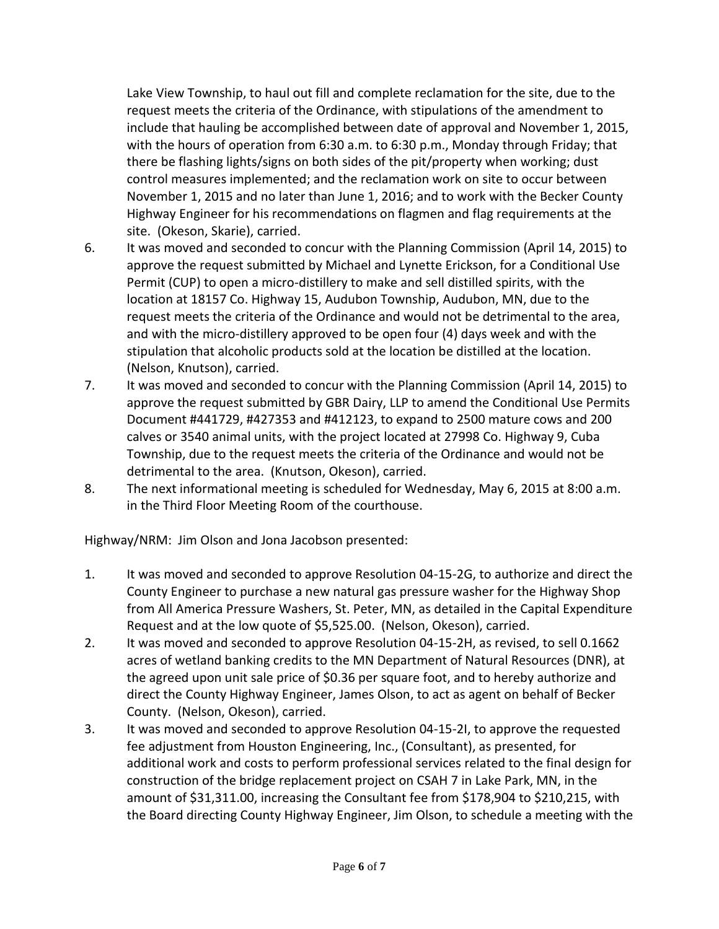Lake View Township, to haul out fill and complete reclamation for the site, due to the request meets the criteria of the Ordinance, with stipulations of the amendment to include that hauling be accomplished between date of approval and November 1, 2015, with the hours of operation from 6:30 a.m. to 6:30 p.m., Monday through Friday; that there be flashing lights/signs on both sides of the pit/property when working; dust control measures implemented; and the reclamation work on site to occur between November 1, 2015 and no later than June 1, 2016; and to work with the Becker County Highway Engineer for his recommendations on flagmen and flag requirements at the site. (Okeson, Skarie), carried.

- 6. It was moved and seconded to concur with the Planning Commission (April 14, 2015) to approve the request submitted by Michael and Lynette Erickson, for a Conditional Use Permit (CUP) to open a micro-distillery to make and sell distilled spirits, with the location at 18157 Co. Highway 15, Audubon Township, Audubon, MN, due to the request meets the criteria of the Ordinance and would not be detrimental to the area, and with the micro-distillery approved to be open four (4) days week and with the stipulation that alcoholic products sold at the location be distilled at the location. (Nelson, Knutson), carried.
- 7. It was moved and seconded to concur with the Planning Commission (April 14, 2015) to approve the request submitted by GBR Dairy, LLP to amend the Conditional Use Permits Document #441729, #427353 and #412123, to expand to 2500 mature cows and 200 calves or 3540 animal units, with the project located at 27998 Co. Highway 9, Cuba Township, due to the request meets the criteria of the Ordinance and would not be detrimental to the area. (Knutson, Okeson), carried.
- 8. The next informational meeting is scheduled for Wednesday, May 6, 2015 at 8:00 a.m. in the Third Floor Meeting Room of the courthouse.

Highway/NRM: Jim Olson and Jona Jacobson presented:

- 1. It was moved and seconded to approve Resolution 04-15-2G, to authorize and direct the County Engineer to purchase a new natural gas pressure washer for the Highway Shop from All America Pressure Washers, St. Peter, MN, as detailed in the Capital Expenditure Request and at the low quote of \$5,525.00. (Nelson, Okeson), carried.
- 2. It was moved and seconded to approve Resolution 04-15-2H, as revised, to sell 0.1662 acres of wetland banking credits to the MN Department of Natural Resources (DNR), at the agreed upon unit sale price of \$0.36 per square foot, and to hereby authorize and direct the County Highway Engineer, James Olson, to act as agent on behalf of Becker County. (Nelson, Okeson), carried.
- 3. It was moved and seconded to approve Resolution 04-15-2I, to approve the requested fee adjustment from Houston Engineering, Inc., (Consultant), as presented, for additional work and costs to perform professional services related to the final design for construction of the bridge replacement project on CSAH 7 in Lake Park, MN, in the amount of \$31,311.00, increasing the Consultant fee from \$178,904 to \$210,215, with the Board directing County Highway Engineer, Jim Olson, to schedule a meeting with the